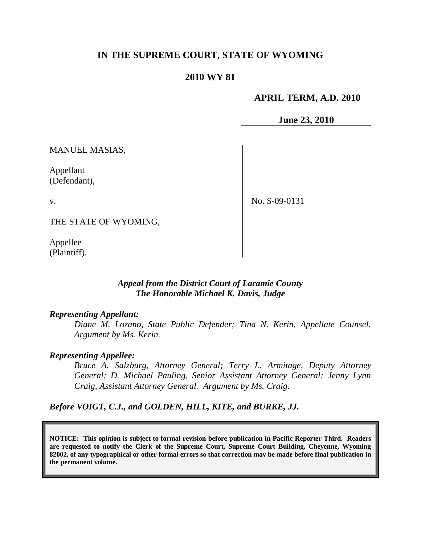## **IN THE SUPREME COURT, STATE OF WYOMING**

## **2010 WY 81**

### **APRIL TERM, A.D. 2010**

**June 23, 2010**

MANUEL MASIAS,

Appellant (Defendant),

v.

No. S-09-0131

THE STATE OF WYOMING,

Appellee (Plaintiff).

### *Appeal from the District Court of Laramie County The Honorable Michael K. Davis, Judge*

#### *Representing Appellant:*

*Diane M. Lozano, State Public Defender; Tina N. Kerin, Appellate Counsel. Argument by Ms. Kerin.*

#### *Representing Appellee:*

*Bruce A. Salzburg, Attorney General; Terry L. Armitage, Deputy Attorney General; D. Michael Pauling, Senior Assistant Attorney General; Jenny Lynn Craig, Assistant Attorney General. Argument by Ms. Craig.*

*Before VOIGT, C.J., and GOLDEN, HILL, KITE, and BURKE, JJ.*

**NOTICE: This opinion is subject to formal revision before publication in Pacific Reporter Third. Readers are requested to notify the Clerk of the Supreme Court, Supreme Court Building, Cheyenne, Wyoming 82002, of any typographical or other formal errors so that correction may be made before final publication in the permanent volume.**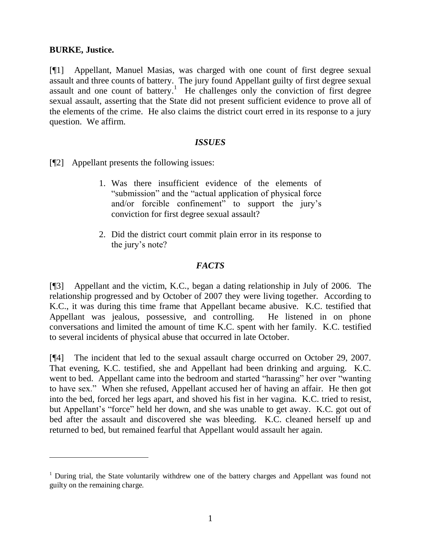### **BURKE, Justice.**

[¶1] Appellant, Manuel Masias, was charged with one count of first degree sexual assault and three counts of battery. The jury found Appellant guilty of first degree sexual assault and one count of battery.<sup>1</sup> He challenges only the conviction of first degree sexual assault, asserting that the State did not present sufficient evidence to prove all of the elements of the crime. He also claims the district court erred in its response to a jury question. We affirm.

#### *ISSUES*

[¶2] Appellant presents the following issues:

- 1. Was there insufficient evidence of the elements of "submission" and the "actual application of physical force and/or forcible confinement<sup>77</sup> to support the jury's conviction for first degree sexual assault?
- 2. Did the district court commit plain error in its response to the jury's note?

## *FACTS*

[¶3] Appellant and the victim, K.C., began a dating relationship in July of 2006. The relationship progressed and by October of 2007 they were living together. According to K.C., it was during this time frame that Appellant became abusive. K.C. testified that Appellant was jealous, possessive, and controlling. He listened in on phone conversations and limited the amount of time K.C. spent with her family. K.C. testified to several incidents of physical abuse that occurred in late October.

[¶4] The incident that led to the sexual assault charge occurred on October 29, 2007. That evening, K.C. testified, she and Appellant had been drinking and arguing. K.C. went to bed. Appellant came into the bedroom and started "harassing" her over "wanting to have sex." When she refused, Appellant accused her of having an affair. He then got into the bed, forced her legs apart, and shoved his fist in her vagina. K.C. tried to resist, but Appellant"s "force" held her down, and she was unable to get away. K.C. got out of bed after the assault and discovered she was bleeding. K.C. cleaned herself up and returned to bed, but remained fearful that Appellant would assault her again.

<sup>&</sup>lt;sup>1</sup> During trial, the State voluntarily withdrew one of the battery charges and Appellant was found not guilty on the remaining charge.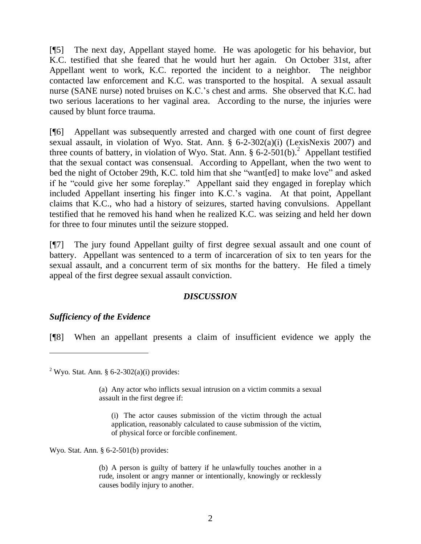[¶5] The next day, Appellant stayed home. He was apologetic for his behavior, but K.C. testified that she feared that he would hurt her again. On October 31st, after Appellant went to work, K.C. reported the incident to a neighbor. The neighbor contacted law enforcement and K.C. was transported to the hospital. A sexual assault nurse (SANE nurse) noted bruises on K.C.'s chest and arms. She observed that K.C. had two serious lacerations to her vaginal area. According to the nurse, the injuries were caused by blunt force trauma.

[¶6] Appellant was subsequently arrested and charged with one count of first degree sexual assault, in violation of Wyo. Stat. Ann. § 6-2-302(a)(i) (LexisNexis 2007) and three counts of battery, in violation of Wyo. Stat. Ann.  $\S 6$ -2-501(b).<sup>2</sup> Appellant testified that the sexual contact was consensual. According to Appellant, when the two went to bed the night of October 29th, K.C. told him that she "want[ed] to make love" and asked if he "could give her some foreplay." Appellant said they engaged in foreplay which included Appellant inserting his finger into K.C."s vagina. At that point, Appellant claims that K.C., who had a history of seizures, started having convulsions. Appellant testified that he removed his hand when he realized K.C. was seizing and held her down for three to four minutes until the seizure stopped.

[¶7] The jury found Appellant guilty of first degree sexual assault and one count of battery. Appellant was sentenced to a term of incarceration of six to ten years for the sexual assault, and a concurrent term of six months for the battery. He filed a timely appeal of the first degree sexual assault conviction.

## *DISCUSSION*

#### *Sufficiency of the Evidence*

 $\overline{a}$ 

[¶8] When an appellant presents a claim of insufficient evidence we apply the

<sup>2</sup> Wyo. Stat. Ann. § 6-2-302(a)(i) provides:

(a) Any actor who inflicts sexual intrusion on a victim commits a sexual assault in the first degree if:

(i) The actor causes submission of the victim through the actual application, reasonably calculated to cause submission of the victim, of physical force or forcible confinement.

Wyo. Stat. Ann. § 6-2-501(b) provides:

(b) A person is guilty of battery if he unlawfully touches another in a rude, insolent or angry manner or intentionally, knowingly or recklessly causes bodily injury to another.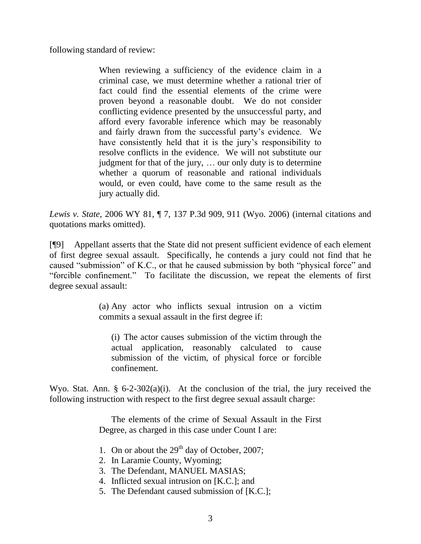following standard of review:

When reviewing a sufficiency of the evidence claim in a criminal case, we must determine whether a rational trier of fact could find the essential elements of the crime were proven beyond a reasonable doubt. We do not consider conflicting evidence presented by the unsuccessful party, and afford every favorable inference which may be reasonably and fairly drawn from the successful party's evidence. We have consistently held that it is the jury's responsibility to resolve conflicts in the evidence. We will not substitute our judgment for that of the jury, … our only duty is to determine whether a quorum of reasonable and rational individuals would, or even could, have come to the same result as the jury actually did.

*Lewis v. State*, 2006 WY 81, ¶ 7, 137 P.3d 909, 911 (Wyo. 2006) (internal citations and quotations marks omitted).

[¶9] Appellant asserts that the State did not present sufficient evidence of each element of first degree sexual assault. Specifically, he contends a jury could not find that he caused "submission" of K.C., or that he caused submission by both "physical force" and "forcible confinement." To facilitate the discussion, we repeat the elements of first degree sexual assault:

> (a) Any actor who inflicts sexual intrusion on a victim commits a sexual assault in the first degree if:

(i) The actor causes submission of the victim through the actual application, reasonably calculated to cause submission of the victim, of physical force or forcible confinement.

Wyo. Stat. Ann. § 6-2-302(a)(i). At the conclusion of the trial, the jury received the following instruction with respect to the first degree sexual assault charge:

> The elements of the crime of Sexual Assault in the First Degree, as charged in this case under Count I are:

- 1. On or about the  $29<sup>th</sup>$  day of October, 2007;
- 2. In Laramie County, Wyoming;
- 3. The Defendant, MANUEL MASIAS;
- 4. Inflicted sexual intrusion on [K.C.]; and
- 5. The Defendant caused submission of [K.C.];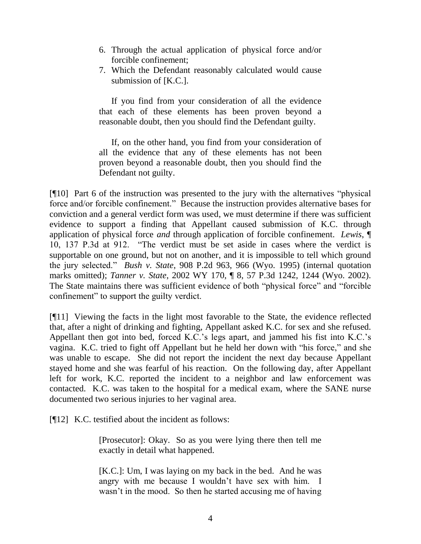- 6. Through the actual application of physical force and/or forcible confinement;
- 7. Which the Defendant reasonably calculated would cause submission of [K.C.].

If you find from your consideration of all the evidence that each of these elements has been proven beyond a reasonable doubt, then you should find the Defendant guilty.

If, on the other hand, you find from your consideration of all the evidence that any of these elements has not been proven beyond a reasonable doubt, then you should find the Defendant not guilty.

[¶10] Part 6 of the instruction was presented to the jury with the alternatives "physical force and/or forcible confinement." Because the instruction provides alternative bases for conviction and a general verdict form was used, we must determine if there was sufficient evidence to support a finding that Appellant caused submission of K.C. through application of physical force *and* through application of forcible confinement. *Lewis*, ¶ 10, 137 P.3d at 912. "The verdict must be set aside in cases where the verdict is supportable on one ground, but not on another, and it is impossible to tell which ground the jury selected." *Bush v. State*, 908 P.2d 963, 966 (Wyo. 1995) (internal quotation marks omitted); *Tanner v. State*, 2002 WY 170, ¶ 8, 57 P.3d 1242, 1244 (Wyo. 2002). The State maintains there was sufficient evidence of both "physical force" and "forcible confinement" to support the guilty verdict.

[¶11] Viewing the facts in the light most favorable to the State, the evidence reflected that, after a night of drinking and fighting, Appellant asked K.C. for sex and she refused. Appellant then got into bed, forced K.C.'s legs apart, and jammed his fist into K.C.'s vagina. K.C. tried to fight off Appellant but he held her down with "his force," and she was unable to escape. She did not report the incident the next day because Appellant stayed home and she was fearful of his reaction. On the following day, after Appellant left for work, K.C. reported the incident to a neighbor and law enforcement was contacted. K.C. was taken to the hospital for a medical exam, where the SANE nurse documented two serious injuries to her vaginal area.

[¶12] K.C. testified about the incident as follows:

[Prosecutor]: Okay. So as you were lying there then tell me exactly in detail what happened.

[K.C.]: Um, I was laying on my back in the bed. And he was angry with me because I wouldn"t have sex with him. I wasn't in the mood. So then he started accusing me of having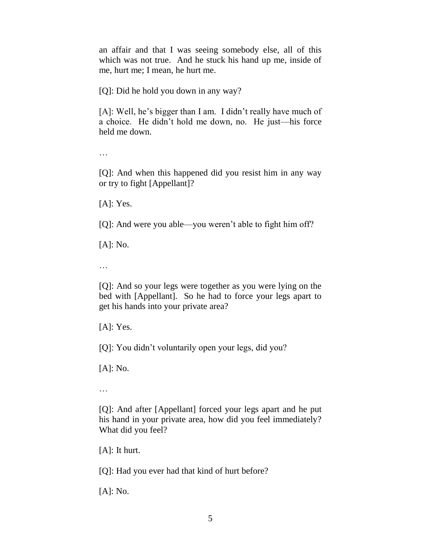an affair and that I was seeing somebody else, all of this which was not true. And he stuck his hand up me, inside of me, hurt me; I mean, he hurt me.

[Q]: Did he hold you down in any way?

[A]: Well, he's bigger than I am. I didn't really have much of a choice. He didn"t hold me down, no. He just—his force held me down.

…

[Q]: And when this happened did you resist him in any way or try to fight [Appellant]?

[A]: Yes.

[Q]: And were you able—you weren"t able to fight him off?

[A]: No.

…

[Q]: And so your legs were together as you were lying on the bed with [Appellant]. So he had to force your legs apart to get his hands into your private area?

[A]: Yes.

[Q]: You didn't voluntarily open your legs, did you?

[A]: No.

…

[Q]: And after [Appellant] forced your legs apart and he put his hand in your private area, how did you feel immediately? What did you feel?

[A]: It hurt.

[Q]: Had you ever had that kind of hurt before?

[A]: No.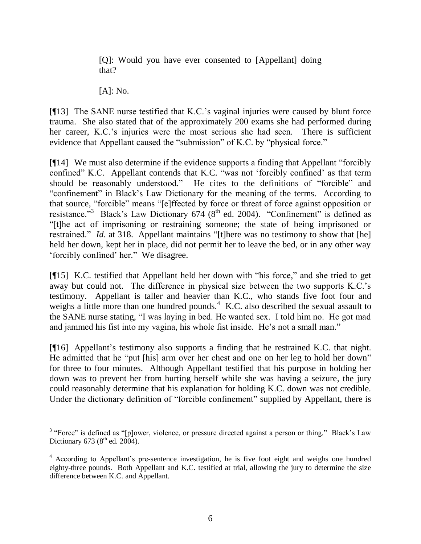[Q]: Would you have ever consented to [Appellant] doing that?

[A]: No.

 $\overline{a}$ 

[¶13] The SANE nurse testified that K.C."s vaginal injuries were caused by blunt force trauma. She also stated that of the approximately 200 exams she had performed during her career, K.C.'s injuries were the most serious she had seen. There is sufficient evidence that Appellant caused the "submission" of K.C. by "physical force."

[¶14] We must also determine if the evidence supports a finding that Appellant "forcibly confined" K.C. Appellant contends that K.C. "was not "forcibly confined" as that term should be reasonably understood." He cites to the definitions of "forcible" and "confinement" in Black"s Law Dictionary for the meaning of the terms. According to that source, "forcible" means "[e]ffected by force or threat of force against opposition or resistance."<sup>3</sup> Black's Law Dictionary 674 (8<sup>th</sup> ed. 2004). "Confinement" is defined as "[t]he act of imprisoning or restraining someone; the state of being imprisoned or restrained." *Id.* at 318. Appellant maintains "[t]here was no testimony to show that [he] held her down, kept her in place, did not permit her to leave the bed, or in any other way "forcibly confined" her." We disagree.

[¶15] K.C. testified that Appellant held her down with "his force," and she tried to get away but could not. The difference in physical size between the two supports K.C."s testimony. Appellant is taller and heavier than K.C., who stands five foot four and weighs a little more than one hundred pounds.<sup>4</sup> K.C. also described the sexual assault to the SANE nurse stating, "I was laying in bed. He wanted sex. I told him no. He got mad and jammed his fist into my vagina, his whole fist inside. He's not a small man."

[¶16] Appellant's testimony also supports a finding that he restrained K.C. that night. He admitted that he "put [his] arm over her chest and one on her leg to hold her down" for three to four minutes. Although Appellant testified that his purpose in holding her down was to prevent her from hurting herself while she was having a seizure, the jury could reasonably determine that his explanation for holding K.C. down was not credible. Under the dictionary definition of "forcible confinement" supplied by Appellant, there is

<sup>&</sup>lt;sup>3</sup> "Force" is defined as "[p]ower, violence, or pressure directed against a person or thing." Black's Law Dictionary 673 ( $8<sup>th</sup>$  ed. 2004).

<sup>&</sup>lt;sup>4</sup> According to Appellant's pre-sentence investigation, he is five foot eight and weighs one hundred eighty-three pounds. Both Appellant and K.C. testified at trial, allowing the jury to determine the size difference between K.C. and Appellant.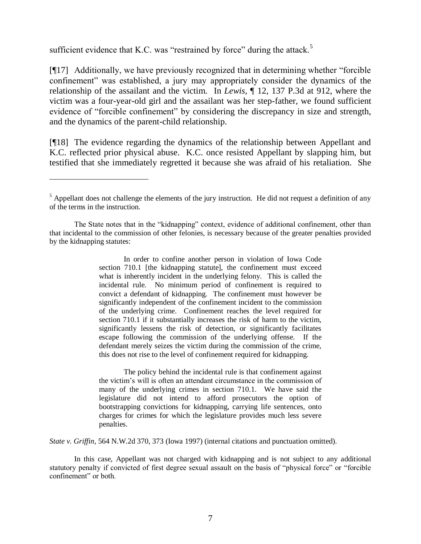sufficient evidence that K.C. was "restrained by force" during the attack.<sup>5</sup>

 $\overline{a}$ 

[¶17] Additionally, we have previously recognized that in determining whether "forcible confinement" was established, a jury may appropriately consider the dynamics of the relationship of the assailant and the victim. In *Lewis*, ¶ 12, 137 P.3d at 912, where the victim was a four-year-old girl and the assailant was her step-father, we found sufficient evidence of "forcible confinement" by considering the discrepancy in size and strength, and the dynamics of the parent-child relationship.

[¶18] The evidence regarding the dynamics of the relationship between Appellant and K.C. reflected prior physical abuse. K.C. once resisted Appellant by slapping him, but testified that she immediately regretted it because she was afraid of his retaliation. She

In order to confine another person in violation of Iowa Code section 710.1 [the kidnapping statute], the confinement must exceed what is inherently incident in the underlying felony. This is called the incidental rule. No minimum period of confinement is required to convict a defendant of kidnapping. The confinement must however be significantly independent of the confinement incident to the commission of the underlying crime. Confinement reaches the level required for section 710.1 if it substantially increases the risk of harm to the victim, significantly lessens the risk of detection, or significantly facilitates escape following the commission of the underlying offense. If the defendant merely seizes the victim during the commission of the crime, this does not rise to the level of confinement required for kidnapping.

The policy behind the incidental rule is that confinement against the victim"s will is often an attendant circumstance in the commission of many of the underlying crimes in section 710.1. We have said the legislature did not intend to afford prosecutors the option of bootstrapping convictions for kidnapping, carrying life sentences, onto charges for crimes for which the legislature provides much less severe penalties.

*State v. Griffin*, 564 N.W.2d 370, 373 (Iowa 1997) (internal citations and punctuation omitted).

In this case, Appellant was not charged with kidnapping and is not subject to any additional statutory penalty if convicted of first degree sexual assault on the basis of "physical force" or "forcible confinement" or both.

 $<sup>5</sup>$  Appellant does not challenge the elements of the jury instruction. He did not request a definition of any</sup> of the terms in the instruction.

The State notes that in the "kidnapping" context, evidence of additional confinement, other than that incidental to the commission of other felonies, is necessary because of the greater penalties provided by the kidnapping statutes: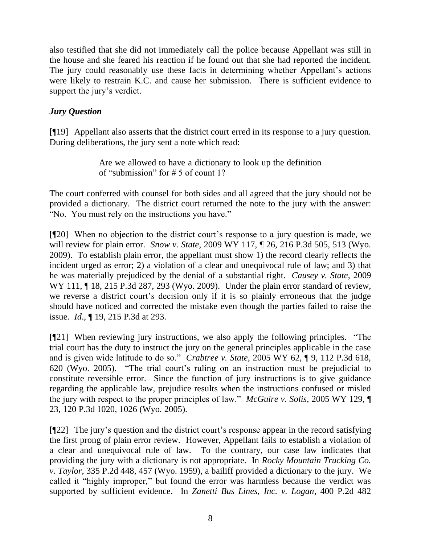also testified that she did not immediately call the police because Appellant was still in the house and she feared his reaction if he found out that she had reported the incident. The jury could reasonably use these facts in determining whether Appellant's actions were likely to restrain K.C. and cause her submission. There is sufficient evidence to support the jury's verdict.

# *Jury Question*

[¶19] Appellant also asserts that the district court erred in its response to a jury question. During deliberations, the jury sent a note which read:

> Are we allowed to have a dictionary to look up the definition of "submission" for # 5 of count 1?

The court conferred with counsel for both sides and all agreed that the jury should not be provided a dictionary. The district court returned the note to the jury with the answer: "No. You must rely on the instructions you have."

[¶20] When no objection to the district court"s response to a jury question is made, we will review for plain error. *Snow v. State*, 2009 WY 117, ¶ 26, 216 P.3d 505, 513 (Wyo. 2009). To establish plain error, the appellant must show 1) the record clearly reflects the incident urged as error; 2) a violation of a clear and unequivocal rule of law; and 3) that he was materially prejudiced by the denial of a substantial right. *Causey v. State*, 2009 WY 111, 18, 215 P.3d 287, 293 (Wyo. 2009). Under the plain error standard of review, we reverse a district court's decision only if it is so plainly erroneous that the judge should have noticed and corrected the mistake even though the parties failed to raise the issue. *Id*., ¶ 19, 215 P.3d at 293.

[¶21] When reviewing jury instructions, we also apply the following principles. "The trial court has the duty to instruct the jury on the general principles applicable in the case and is given wide latitude to do so." *Crabtree v. State*, 2005 WY 62, ¶ 9, 112 P.3d 618, 620 (Wyo. 2005). "The trial court"s ruling on an instruction must be prejudicial to constitute reversible error. Since the function of jury instructions is to give guidance regarding the applicable law, prejudice results when the instructions confused or misled the jury with respect to the proper principles of law." *McGuire v. Solis*, 2005 WY 129, ¶ 23, 120 P.3d 1020, 1026 (Wyo. 2005).

[¶22] The jury"s question and the district court"s response appear in the record satisfying the first prong of plain error review. However, Appellant fails to establish a violation of a clear and unequivocal rule of law. To the contrary, our case law indicates that providing the jury with a dictionary is not appropriate. In *Rocky Mountain Trucking Co. v. Taylor*, 335 P.2d 448, 457 (Wyo. 1959), a bailiff provided a dictionary to the jury. We called it "highly improper," but found the error was harmless because the verdict was supported by sufficient evidence. In *Zanetti Bus Lines, Inc. v. Logan*, 400 P.2d 482